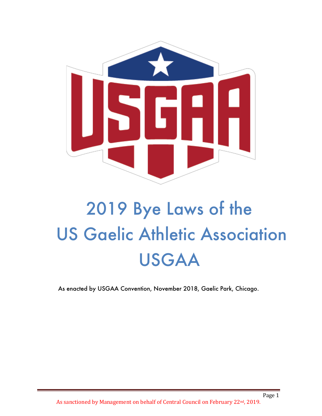

# 2019 Bye Laws of the US Gaelic Athletic Association USGAA

As enacted by USGAA Convention, November 2018, Gaelic Park, Chicago.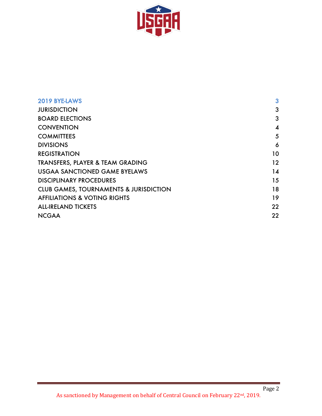

| 2019 BYE-LAWS                                     | 3                |
|---------------------------------------------------|------------------|
| <b>JURISDICTION</b>                               | 3                |
| <b>BOARD ELECTIONS</b>                            | 3                |
| <b>CONVENTION</b>                                 | $\boldsymbol{4}$ |
| <b>COMMITTEES</b>                                 | 5                |
| <b>DIVISIONS</b>                                  | 6                |
| <b>REGISTRATION</b>                               | 10               |
| TRANSFERS, PLAYER & TEAM GRADING                  | 12               |
| <b>USGAA SANCTIONED GAME BYELAWS</b>              | 14               |
| <b>DISCIPLINARY PROCEDURES</b>                    | 15               |
| <b>CLUB GAMES, TOURNAMENTS &amp; JURISDICTION</b> | 18               |
| <b>AFFILIATIONS &amp; VOTING RIGHTS</b>           | 19               |
| <b>ALL-IRELAND TICKETS</b>                        | 22               |
| <b>NCGAA</b>                                      | 22               |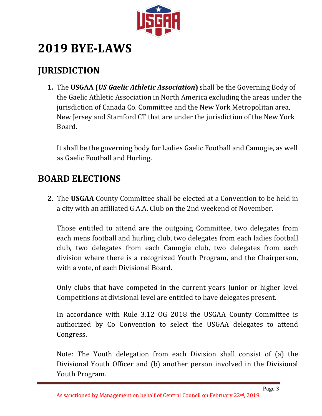

## **2019 BYE-LAWS**

## **JURISDICTION**

**1.** The USGAA *(US Gaelic Athletic Association)* shall be the Governing Body of the Gaelic Athletic Association in North America excluding the areas under the jurisdiction of Canada Co. Committee and the New York Metropolitan area, New Jersey and Stamford CT that are under the jurisdiction of the New York Board. 

It shall be the governing body for Ladies Gaelic Football and Camogie, as well as Gaelic Football and Hurling.

## **BOARD ELECTIONS**

**2.** The **USGAA** County Committee shall be elected at a Convention to be held in a city with an affiliated G.A.A. Club on the 2nd weekend of November.

Those entitled to attend are the outgoing Committee, two delegates from each mens football and hurling club, two delegates from each ladies football club, two delegates from each Camogie club, two delegates from each division where there is a recognized Youth Program, and the Chairperson, with a vote, of each Divisional Board.

Only clubs that have competed in the current years Junior or higher level Competitions at divisional level are entitled to have delegates present.

In accordance with Rule 3.12 OG 2018 the USGAA County Committee is authorized by Co Convention to select the USGAA delegates to attend Congress. 

Note: The Youth delegation from each Division shall consist of (a) the Divisional Youth Officer and (b) another person involved in the Divisional Youth Program*.*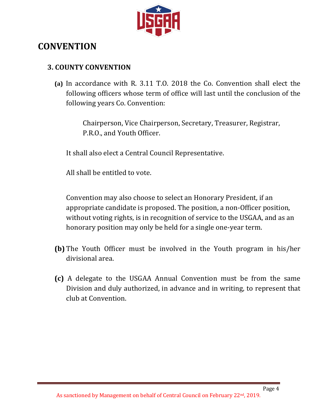

## **CONVENTION**

#### **3. COUNTY CONVENTION**

**(a)** In accordance with R. 3.11 T.O. 2018 the Co. Convention shall elect the following officers whose term of office will last until the conclusion of the following years Co. Convention:

> Chairperson, Vice Chairperson, Secretary, Treasurer, Registrar, P.R.O., and Youth Officer.

It shall also elect a Central Council Representative.

All shall be entitled to vote.

Convention may also choose to select an Honorary President, if an appropriate candidate is proposed. The position, a non-Officer position, without voting rights, is in recognition of service to the USGAA, and as an honorary position may only be held for a single one-year term.

- **(b)** The Youth Officer must be involved in the Youth program in his/her divisional area.
- **(c)** A delegate to the USGAA Annual Convention must be from the same Division and duly authorized, in advance and in writing, to represent that club at Convention.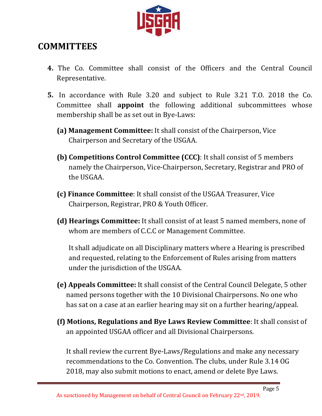

## **COMMITTEES**

- **4.** The Co. Committee shall consist of the Officers and the Central Council Representative.
- **5.** In accordance with Rule 3.20 and subject to Rule 3.21 T.O. 2018 the Co. Committee shall **appoint** the following additional subcommittees whose membership shall be as set out in Bye-Laws:
	- **(a) Management Committee:** It shall consist of the Chairperson, Vice Chairperson and Secretary of the USGAA.
	- **(b) Competitions Control Committee (CCC):** It shall consist of 5 members namely the Chairperson, Vice-Chairperson, Secretary, Registrar and PRO of the USGAA.
	- **(c) Finance Committee**: It shall consist of the USGAA Treasurer, Vice Chairperson, Registrar, PRO & Youth Officer.
	- **(d) Hearings Committee:** It shall consist of at least 5 named members, none of whom are members of C.C.C or Management Committee.

It shall adjudicate on all Disciplinary matters where a Hearing is prescribed and requested, relating to the Enforcement of Rules arising from matters under the jurisdiction of the USGAA.

- **(e) Appeals Committee:** It shall consist of the Central Council Delegate, 5 other named persons together with the 10 Divisional Chairpersons. No one who has sat on a case at an earlier hearing may sit on a further hearing/appeal.
- **(f) Motions, Regulations and Bye Laws Review Committee:** It shall consist of an appointed USGAA officer and all Divisional Chairpersons.

It shall review the current Bye-Laws/Regulations and make any necessary recommendations to the Co. Convention. The clubs, under Rule 3.14 OG 2018, may also submit motions to enact, amend or delete Bye Laws.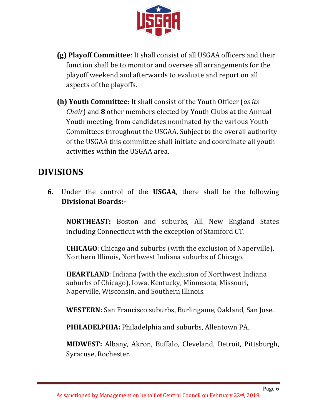

- **(g) Playoff Committee**: It shall consist of all USGAA officers and their function shall be to monitor and oversee all arrangements for the playoff weekend and afterwards to evaluate and report on all aspects of the playoffs.
- **(h) Youth Committee:** It shall consist of the Youth Officer (*as its Chair*) and **8** other members elected by Youth Clubs at the Annual Youth meeting, from candidates nominated by the various Youth Committees throughout the USGAA. Subject to the overall authority of the USGAA this committee shall initiate and coordinate all youth activities within the USGAA area.

## **DIVISIONS**

**6.** Under the control of the USGAA, there shall be the following **Divisional Boards:-**

**NORTHEAST:** Boston and suburbs, All New England States including Connecticut with the exception of Stamford CT.

**CHICAGO**: Chicago and suburbs (with the exclusion of Naperville), Northern Illinois, Northwest Indiana suburbs of Chicago.

**HEARTLAND:** Indiana (with the exclusion of Northwest Indiana suburbs of Chicago), Iowa, Kentucky, Minnesota, Missouri, Naperville, Wisconsin, and Southern Illinois.

**WESTERN:** San Francisco suburbs, Burlingame, Oakland, San Jose.

**PHILADELPHIA:** Philadelphia and suburbs, Allentown PA.

**MIDWEST:** Albany, Akron, Buffalo, Cleveland, Detroit, Pittsburgh, Syracuse, Rochester.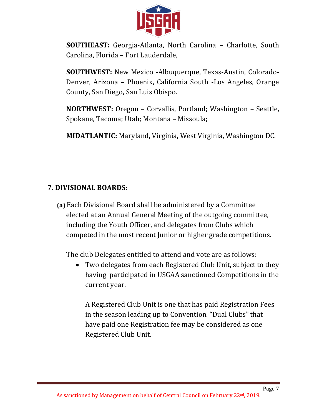

**SOUTHEAST:** Georgia-Atlanta, North Carolina – Charlotte, South Carolina, Florida – Fort Lauderdale,

**SOUTHWEST:** New Mexico -Albuquerque, Texas-Austin, Colorado-Denver, Arizona – Phoenix, California South -Los Angeles, Orange County, San Diego, San Luis Obispo.

**NORTHWEST:** Oregon – Corvallis, Portland; Washington – Seattle, Spokane, Tacoma; Utah; Montana – Missoula;

**MIDATLANTIC:** Maryland, Virginia, West Virginia, Washington DC.

#### **7. DIVISIONAL BOARDS:**

**(a)** Each Divisional Board shall be administered by a Committee elected at an Annual General Meeting of the outgoing committee, including the Youth Officer, and delegates from Clubs which competed in the most recent Junior or higher grade competitions.

The club Delegates entitled to attend and vote are as follows:

• Two delegates from each Registered Club Unit, subject to they having participated in USGAA sanctioned Competitions in the current year.

A Registered Club Unit is one that has paid Registration Fees in the season leading up to Convention. "Dual Clubs" that have paid one Registration fee may be considered as one Registered Club Unit.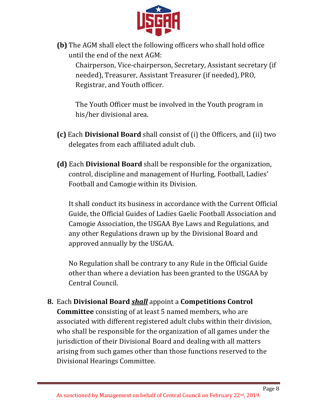

**(b)** The AGM shall elect the following officers who shall hold office until the end of the next AGM:

Chairperson, Vice-chairperson, Secretary, Assistant secretary (if needed), Treasurer, Assistant Treasurer (if needed), PRO, Registrar, and Youth officer.

The Youth Officer must be involved in the Youth program in his/her divisional area.

- **(c)** Each Divisional Board shall consist of (i) the Officers, and (ii) two delegates from each affiliated adult club.
- **(d)** Each **Divisional Board** shall be responsible for the organization, control, discipline and management of Hurling, Football, Ladies' Football and Camogie within its Division.

It shall conduct its business in accordance with the Current Official Guide, the Official Guides of Ladies Gaelic Football Association and Camogie Association, the USGAA Bye Laws and Regulations, and any other Regulations drawn up by the Divisional Board and approved annually by the USGAA.

No Regulation shall be contrary to any Rule in the Official Guide other than where a deviation has been granted to the USGAA by Central Council. 

**8.** Each Divisional Board *shall* appoint a Competitions Control **Committee** consisting of at least 5 named members, who are associated with different registered adult clubs within their division, who shall be responsible for the organization of all games under the jurisdiction of their Divisional Board and dealing with all matters arising from such games other than those functions reserved to the Divisional Hearings Committee.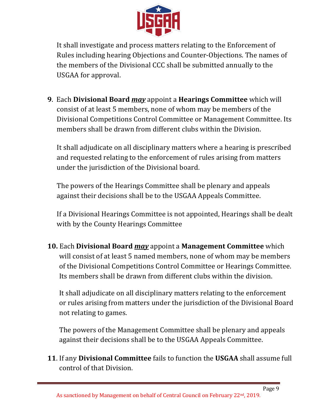

It shall investigate and process matters relating to the Enforcement of Rules including hearing Objections and Counter-Objections. The names of the members of the Divisional CCC shall be submitted annually to the USGAA for approval.

**9.** Each Divisional Board *may* appoint a Hearings Committee which will consist of at least 5 members, none of whom may be members of the Divisional Competitions Control Committee or Management Committee. Its members shall be drawn from different clubs within the Division.

It shall adjudicate on all disciplinary matters where a hearing is prescribed and requested relating to the enforcement of rules arising from matters under the jurisdiction of the Divisional board.

The powers of the Hearings Committee shall be plenary and appeals against their decisions shall be to the USGAA Appeals Committee.

If a Divisional Hearings Committee is not appointed, Hearings shall be dealt with by the County Hearings Committee

**10.** Each Divisional Board *may* appoint a Management Committee which will consist of at least 5 named members, none of whom may be members of the Divisional Competitions Control Committee or Hearings Committee. Its members shall be drawn from different clubs within the division.

It shall adjudicate on all disciplinary matters relating to the enforcement or rules arising from matters under the jurisdiction of the Divisional Board not relating to games.

The powers of the Management Committee shall be plenary and appeals against their decisions shall be to the USGAA Appeals Committee.

**11.** If any **Divisional Committee** fails to function the **USGAA** shall assume full control of that Division.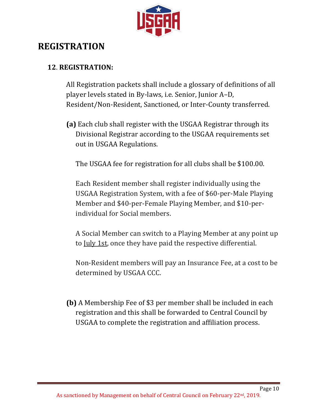

## **REGISTRATION**

### **12**. **REGISTRATION:**

All Registration packets shall include a glossary of definitions of all player levels stated in By-laws, i.e. Senior, Junior A–D, Resident/Non-Resident, Sanctioned, or Inter-County transferred.

**(a)** Each club shall register with the USGAA Registrar through its Divisional Registrar according to the USGAA requirements set out in USGAA Regulations.

The USGAA fee for registration for all clubs shall be \$100.00.

Each Resident member shall register individually using the USGAA Registration System, with a fee of \$60-per-Male Playing Member and \$40-per-Female Playing Member, and \$10-perindividual for Social members.

A Social Member can switch to a Playing Member at any point up to July 1st, once they have paid the respective differential.

Non-Resident members will pay an Insurance Fee, at a cost to be determined by USGAA CCC.

**(b)** A Membership Fee of \$3 per member shall be included in each registration and this shall be forwarded to Central Council by USGAA to complete the registration and affiliation process.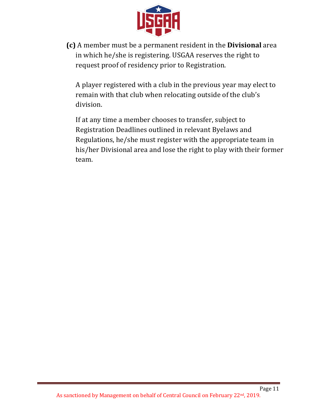

**(c)** A member must be a permanent resident in the **Divisional** area in which he/she is registering. USGAA reserves the right to request proof of residency prior to Registration.

A player registered with a club in the previous year may elect to remain with that club when relocating outside of the club's division.

If at any time a member chooses to transfer, subject to Registration Deadlines outlined in relevant Byelaws and Regulations, he/she must register with the appropriate team in his/her Divisional area and lose the right to play with their former team.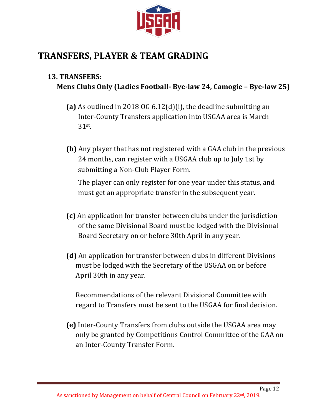

## **TRANSFERS, PLAYER & TEAM GRADING**

#### **13. TRANSFERS:**

## **Mens Clubs Only (Ladies Football- Bye-law 24, Camogie – Bye-law 25)**

- (a) As outlined in 2018 OG  $6.12(d)(i)$ , the deadline submitting an Inter-County Transfers application into USGAA area is March 31st.
- **(b)** Any player that has not registered with a GAA club in the previous 24 months, can register with a USGAA club up to July 1st by submitting a Non-Club Player Form.

The player can only register for one year under this status, and must get an appropriate transfer in the subsequent year.

- **(c)** An application for transfer between clubs under the jurisdiction of the same Divisional Board must be lodged with the Divisional Board Secretary on or before 30th April in any year.
- **(d)** An application for transfer between clubs in different Divisions must be lodged with the Secretary of the USGAA on or before April 30th in any year.

Recommendations of the relevant Divisional Committee with regard to Transfers must be sent to the USGAA for final decision.

**(e)** Inter-County Transfers from clubs outside the USGAA area may only be granted by Competitions Control Committee of the GAA on an Inter-County Transfer Form.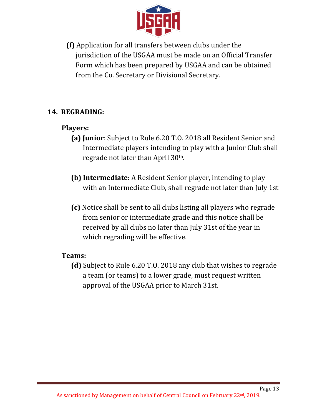

**(f)** Application for all transfers between clubs under the jurisdiction of the USGAA must be made on an Official Transfer Form which has been prepared by USGAA and can be obtained from the Co. Secretary or Divisional Secretary.

#### 14. REGRADING:

#### **Players:**

- **(a) Junior**: Subject to Rule 6.20 T.O. 2018 all Resident Senior and Intermediate players intending to play with a Junior Club shall regrade not later than April 30<sup>th</sup>.
- **(b) Intermediate:** A Resident Senior player, intending to play with an Intermediate Club, shall regrade not later than July 1st
- **(c)** Notice shall be sent to all clubs listing all players who regrade from senior or intermediate grade and this notice shall be received by all clubs no later than July 31st of the year in which regrading will be effective.

#### **Teams:**

**(d)** Subject to Rule 6.20 T.O. 2018 any club that wishes to regrade a team (or teams) to a lower grade, must request written approval of the USGAA prior to March 31st.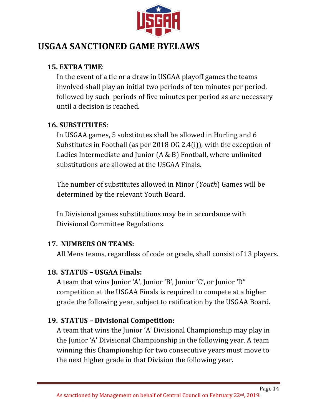

## **USGAA SANCTIONED GAME BYELAWS**

#### **15. EXTRA TIME**:

In the event of a tie or a draw in USGAA playoff games the teams involved shall play an initial two periods of ten minutes per period, followed by such periods of five minutes per period as are necessary until a decision is reached.

#### **16. SUBSTITUTES**:

In USGAA games, 5 substitutes shall be allowed in Hurling and 6 Substitutes in Football (as per 2018 OG 2.4(i)), with the exception of Ladies Intermediate and Junior  $(A & B)$  Football, where unlimited substitutions are allowed at the USGAA Finals.

The number of substitutes allowed in Minor (*Youth*) Games will be determined by the relevant Youth Board.

In Divisional games substitutions may be in accordance with Divisional Committee Regulations.

#### **17. NUMBERS ON TEAMS:**

All Mens teams, regardless of code or grade, shall consist of 13 players.

#### **18. STATUS – USGAA Finals:**

A team that wins Junior 'A', Junior 'B', Junior 'C', or Junior 'D" competition at the USGAA Finals is required to compete at a higher grade the following year, subject to ratification by the USGAA Board.

#### **19. STATUS – Divisional Competition:**

A team that wins the Junior 'A' Divisional Championship may play in the Junior 'A' Divisional Championship in the following year. A team winning this Championship for two consecutive years must move to the next higher grade in that Division the following year.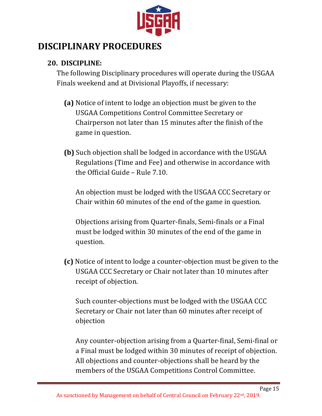

## **DISCIPLINARY PROCEDURES**

#### **20. DISCIPLINE:**

The following Disciplinary procedures will operate during the USGAA Finals weekend and at Divisional Playoffs, if necessary:

- **(a)** Notice of intent to lodge an objection must be given to the USGAA Competitions Control Committee Secretary or Chairperson not later than 15 minutes after the finish of the game in question.
- **(b)** Such objection shall be lodged in accordance with the USGAA Regulations (Time and Fee) and otherwise in accordance with the Official Guide – Rule 7.10.

An objection must be lodged with the USGAA CCC Secretary or Chair within 60 minutes of the end of the game in question.

Objections arising from Quarter-finals, Semi-finals or a Final must be lodged within 30 minutes of the end of the game in question. 

**(c)** Notice of intent to lodge a counter-objection must be given to the USGAA CCC Secretary or Chair not later than 10 minutes after receipt of objection.

Such counter-objections must be lodged with the USGAA CCC Secretary or Chair not later than 60 minutes after receipt of objection

Any counter-objection arising from a Quarter-final, Semi-final or a Final must be lodged within 30 minutes of receipt of objection. All objections and counter-objections shall be heard by the members of the USGAA Competitions Control Committee.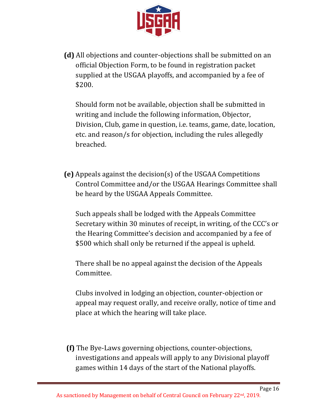

**(d)** All objections and counter-objections shall be submitted on an official Objection Form, to be found in registration packet supplied at the USGAA playoffs, and accompanied by a fee of \$200. 

Should form not be available, objection shall be submitted in writing and include the following information, Objector, Division, Club, game in question, *i.e.* teams, game, date, location, etc. and reason/s for objection, including the rules allegedly breached.

**(e)** Appeals against the decision(s) of the USGAA Competitions Control Committee and/or the USGAA Hearings Committee shall be heard by the USGAA Appeals Committee.

Such appeals shall be lodged with the Appeals Committee Secretary within 30 minutes of receipt, in writing, of the CCC's or the Hearing Committee's decision and accompanied by a fee of \$500 which shall only be returned if the appeal is upheld.

There shall be no appeal against the decision of the Appeals Committee. 

Clubs involved in lodging an objection, counter-objection or appeal may request orally, and receive orally, notice of time and place at which the hearing will take place.

**(f)** The Bye-Laws governing objections, counter-objections, investigations and appeals will apply to any Divisional playoff games within 14 days of the start of the National playoffs.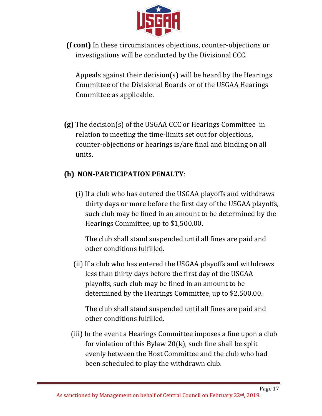

**(f cont)** In these circumstances objections, counter-objections or investigations will be conducted by the Divisional CCC.

Appeals against their decision(s) will be heard by the Hearings Committee of the Divisional Boards or of the USGAA Hearings Committee as applicable.

**(g)** The decision(s) of the USGAA CCC or Hearings Committee in relation to meeting the time-limits set out for objections, counter-objections or hearings is/are final and binding on all units. 

#### **(h) NON-PARTICIPATION PENALTY**:

(i) If a club who has entered the USGAA playoffs and withdraws thirty days or more before the first day of the USGAA playoffs, such club may be fined in an amount to be determined by the Hearings Committee, up to \$1,500.00.

The club shall stand suspended until all fines are paid and other conditions fulfilled.

(ii) If a club who has entered the USGAA playoffs and withdraws less than thirty days before the first day of the USGAA playoffs, such club may be fined in an amount to be determined by the Hearings Committee, up to \$2,500.00.

The club shall stand suspended until all fines are paid and other conditions fulfilled.

(iii) In the event a Hearings Committee imposes a fine upon a club for violation of this Bylaw  $20(k)$ , such fine shall be split evenly between the Host Committee and the club who had been scheduled to play the withdrawn club.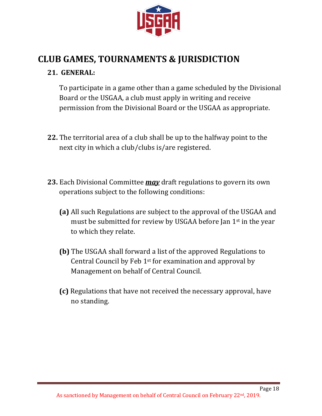

## **CLUB GAMES, TOURNAMENTS & JURISDICTION**

#### **21. GENERAL:**

To participate in a game other than a game scheduled by the Divisional Board or the USGAA, a club must apply in writing and receive permission from the Divisional Board or the USGAA as appropriate.

- **22.** The territorial area of a club shall be up to the halfway point to the next city in which a club/clubs is/are registered.
- **23.** Each Divisional Committee **may** draft regulations to govern its own operations subject to the following conditions:
	- **(a)** All such Regulations are subject to the approval of the USGAA and must be submitted for review by USGAA before Jan  $1<sup>st</sup>$  in the year to which they relate.
	- **(b)** The USGAA shall forward a list of the approved Regulations to Central Council by Feb  $1<sup>st</sup>$  for examination and approval by Management on behalf of Central Council.
	- **(c)** Regulations that have not received the necessary approval, have no standing.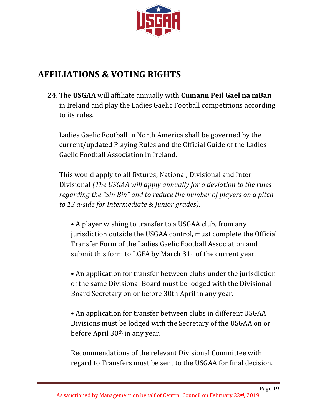

## **AFFILIATIONS & VOTING RIGHTS**

**24.** The USGAA will affiliate annually with **Cumann Peil Gael na mBan** in Ireland and play the Ladies Gaelic Football competitions according to its rules.

Ladies Gaelic Football in North America shall be governed by the current/updated Playing Rules and the Official Guide of the Ladies Gaelic Football Association in Ireland.

This would apply to all fixtures, National, Divisional and Inter Divisional *(The USGAA will apply annually for a deviation to the rules regarding the "Sin Bin" and to reduce the number of players on a pitch to 13 a-side for Intermediate & Junior grades).*

• A player wishing to transfer to a USGAA club, from any jurisdiction outside the USGAA control, must complete the Official Transfer Form of the Ladies Gaelic Football Association and submit this form to LGFA by March  $31<sup>st</sup>$  of the current year.

• An application for transfer between clubs under the jurisdiction of the same Divisional Board must be lodged with the Divisional Board Secretary on or before 30th April in any year.

• An application for transfer between clubs in different USGAA Divisions must be lodged with the Secretary of the USGAA on or before April 30<sup>th</sup> in any year.

Recommendations of the relevant Divisional Committee with regard to Transfers must be sent to the USGAA for final decision.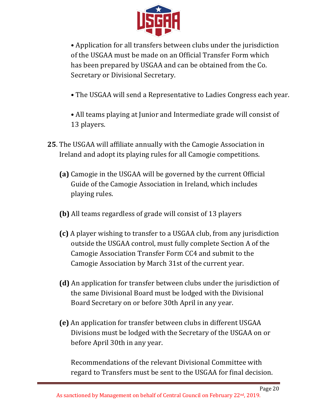

• Application for all transfers between clubs under the jurisdiction of the USGAA must be made on an Official Transfer Form which has been prepared by USGAA and can be obtained from the Co. Secretary or Divisional Secretary.

- The USGAA will send a Representative to Ladies Congress each year.
- All teams playing at Junior and Intermediate grade will consist of 13 players.
- **25.** The USGAA will affiliate annually with the Camogie Association in Ireland and adopt its playing rules for all Camogie competitions.
	- **(a)** Camogie in the USGAA will be governed by the current Official Guide of the Camogie Association in Ireland, which includes playing rules.
	- **(b)** All teams regardless of grade will consist of 13 players
	- **(c)** A player wishing to transfer to a USGAA club, from any jurisdiction outside the USGAA control, must fully complete Section A of the Camogie Association Transfer Form CC4 and submit to the Camogie Association by March 31st of the current year.
	- **(d)** An application for transfer between clubs under the jurisdiction of the same Divisional Board must be lodged with the Divisional Board Secretary on or before 30th April in any year.
	- **(e)** An application for transfer between clubs in different USGAA Divisions must be lodged with the Secretary of the USGAA on or before April 30th in any year.

Recommendations of the relevant Divisional Committee with regard to Transfers must be sent to the USGAA for final decision.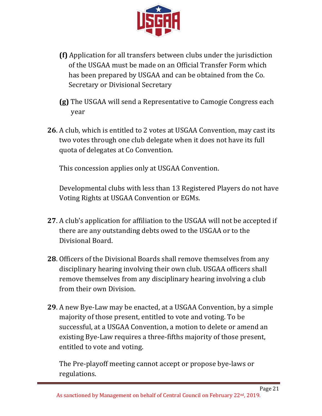

- **(f)** Application for all transfers between clubs under the jurisdiction of the USGAA must be made on an Official Transfer Form which has been prepared by USGAA and can be obtained from the Co. Secretary or Divisional Secretary
- **(g)** The USGAA will send a Representative to Camogie Congress each year
- **26**. A club, which is entitled to 2 votes at USGAA Convention, may cast its two votes through one club delegate when it does not have its full quota of delegates at Co Convention.

This concession applies only at USGAA Convention.

Developmental clubs with less than 13 Registered Players do not have Voting Rights at USGAA Convention or EGMs.

- **27**. A club's application for affiliation to the USGAA will not be accepted if there are any outstanding debts owed to the USGAA or to the Divisional Board.
- **28**. Officers of the Divisional Boards shall remove themselves from any disciplinary hearing involving their own club. USGAA officers shall remove themselves from any disciplinary hearing involving a club from their own Division.
- **29**. A new Bye-Law may be enacted, at a USGAA Convention, by a simple majority of those present, entitled to vote and voting. To be successful, at a USGAA Convention, a motion to delete or amend an existing Bye-Law requires a three-fifths majority of those present, entitled to vote and voting.

The Pre-playoff meeting cannot accept or propose bye-laws or regulations.